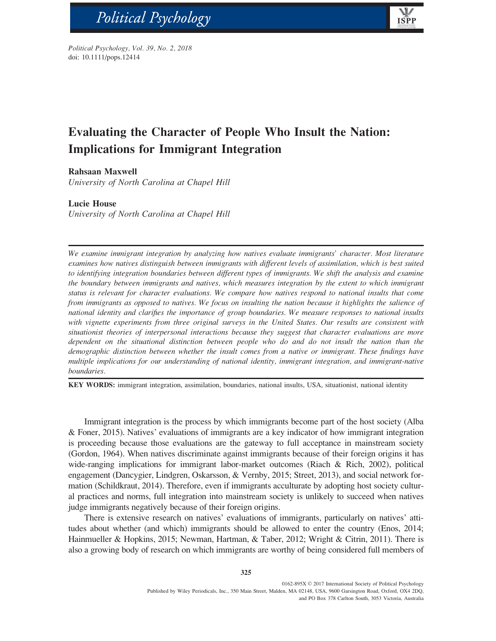

Political Psychology, Vol. 39, No. 2, 2018 doi: 10.1111/pops.12414

# Evaluating the Character of People Who Insult the Nation: Implications for Immigrant Integration

# Rahsaan Maxwell

University of North Carolina at Chapel Hill

## Lucie House

bs\_bs\_banner

University of North Carolina at Chapel Hill

We examine immigrant integration by analyzing how natives evaluate immigrants' character. Most literature examines how natives distinguish between immigrants with different levels of assimilation, which is best suited to identifying integration boundaries between different types of immigrants. We shift the analysis and examine the boundary between immigrants and natives, which measures integration by the extent to which immigrant status is relevant for character evaluations. We compare how natives respond to national insults that come from immigrants as opposed to natives. We focus on insulting the nation because it highlights the salience of national identity and clarifies the importance of group boundaries. We measure responses to national insults with vignette experiments from three original surveys in the United States. Our results are consistent with situationist theories of interpersonal interactions because they suggest that character evaluations are more dependent on the situational distinction between people who do and do not insult the nation than the demographic distinction between whether the insult comes from a native or immigrant. These findings have multiple implications for our understanding of national identity, immigrant integration, and immigrant-native boundaries.

KEY WORDS: immigrant integration, assimilation, boundaries, national insults, USA, situationist, national identity

Immigrant integration is the process by which immigrants become part of the host society (Alba & Foner, 2015). Natives' evaluations of immigrants are a key indicator of how immigrant integration is proceeding because those evaluations are the gateway to full acceptance in mainstream society (Gordon, 1964). When natives discriminate against immigrants because of their foreign origins it has wide-ranging implications for immigrant labor-market outcomes (Riach & Rich, 2002), political engagement (Dancygier, Lindgren, Oskarsson, & Vernby, 2015; Street, 2013), and social network formation (Schildkraut, 2014). Therefore, even if immigrants acculturate by adopting host society cultural practices and norms, full integration into mainstream society is unlikely to succeed when natives judge immigrants negatively because of their foreign origins.

There is extensive research on natives' evaluations of immigrants, particularly on natives' attitudes about whether (and which) immigrants should be allowed to enter the country (Enos, 2014; Hainmueller & Hopkins, 2015; Newman, Hartman, & Taber, 2012; Wright & Citrin, 2011). There is also a growing body of research on which immigrants are worthy of being considered full members of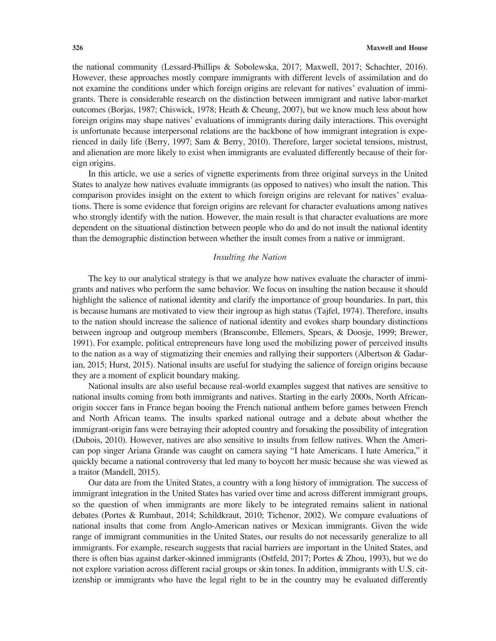the national community (Lessard-Phillips & Sobolewska, 2017; Maxwell, 2017; Schachter, 2016). However, these approaches mostly compare immigrants with different levels of assimilation and do not examine the conditions under which foreign origins are relevant for natives' evaluation of immigrants. There is considerable research on the distinction between immigrant and native labor-market outcomes (Borjas, 1987; Chiswick, 1978; Heath & Cheung, 2007), but we know much less about how foreign origins may shape natives' evaluations of immigrants during daily interactions. This oversight is unfortunate because interpersonal relations are the backbone of how immigrant integration is experienced in daily life (Berry, 1997; Sam & Berry, 2010). Therefore, larger societal tensions, mistrust, and alienation are more likely to exist when immigrants are evaluated differently because of their foreign origins.

In this article, we use a series of vignette experiments from three original surveys in the United States to analyze how natives evaluate immigrants (as opposed to natives) who insult the nation. This comparison provides insight on the extent to which foreign origins are relevant for natives' evaluations. There is some evidence that foreign origins are relevant for character evaluations among natives who strongly identify with the nation. However, the main result is that character evaluations are more dependent on the situational distinction between people who do and do not insult the national identity than the demographic distinction between whether the insult comes from a native or immigrant.

## Insulting the Nation

The key to our analytical strategy is that we analyze how natives evaluate the character of immigrants and natives who perform the same behavior. We focus on insulting the nation because it should highlight the salience of national identity and clarify the importance of group boundaries. In part, this is because humans are motivated to view their ingroup as high status (Tajfel, 1974). Therefore, insults to the nation should increase the salience of national identity and evokes sharp boundary distinctions between ingroup and outgroup members (Branscombe, Ellemers, Spears, & Doosje, 1999; Brewer, 1991). For example, political entrepreneurs have long used the mobilizing power of perceived insults to the nation as a way of stigmatizing their enemies and rallying their supporters (Albertson & Gadarian, 2015; Hurst, 2015). National insults are useful for studying the salience of foreign origins because they are a moment of explicit boundary making.

National insults are also useful because real-world examples suggest that natives are sensitive to national insults coming from both immigrants and natives. Starting in the early 2000s, North Africanorigin soccer fans in France began booing the French national anthem before games between French and North African teams. The insults sparked national outrage and a debate about whether the immigrant-origin fans were betraying their adopted country and forsaking the possibility of integration (Dubois, 2010). However, natives are also sensitive to insults from fellow natives. When the American pop singer Ariana Grande was caught on camera saying "I hate Americans. I hate America," it quickly became a national controversy that led many to boycott her music because she was viewed as a traitor (Mandell, 2015).

Our data are from the United States, a country with a long history of immigration. The success of immigrant integration in the United States has varied over time and across different immigrant groups, so the question of when immigrants are more likely to be integrated remains salient in national debates (Portes & Rumbaut, 2014; Schildkraut, 2010; Tichenor, 2002). We compare evaluations of national insults that come from Anglo-American natives or Mexican immigrants. Given the wide range of immigrant communities in the United States, our results do not necessarily generalize to all immigrants. For example, research suggests that racial barriers are important in the United States, and there is often bias against darker-skinned immigrants (Ostfeld, 2017; Portes & Zhou, 1993), but we do not explore variation across different racial groups or skin tones. In addition, immigrants with U.S. citizenship or immigrants who have the legal right to be in the country may be evaluated differently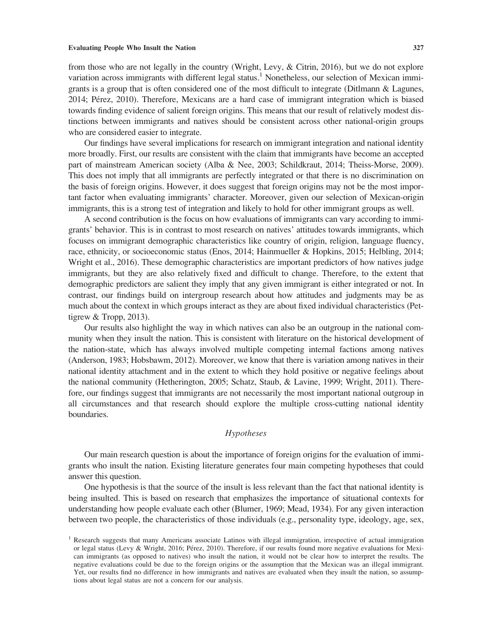from those who are not legally in the country (Wright, Levy, & Citrin, 2016), but we do not explore variation across immigrants with different legal status.<sup>1</sup> Nonetheless, our selection of Mexican immigrants is a group that is often considered one of the most difficult to integrate (Ditlmann & Lagunes, 2014; Pérez, 2010). Therefore, Mexicans are a hard case of immigrant integration which is biased towards finding evidence of salient foreign origins. This means that our result of relatively modest distinctions between immigrants and natives should be consistent across other national-origin groups who are considered easier to integrate.

Our findings have several implications for research on immigrant integration and national identity more broadly. First, our results are consistent with the claim that immigrants have become an accepted part of mainstream American society (Alba & Nee, 2003; Schildkraut, 2014; Theiss-Morse, 2009). This does not imply that all immigrants are perfectly integrated or that there is no discrimination on the basis of foreign origins. However, it does suggest that foreign origins may not be the most important factor when evaluating immigrants' character. Moreover, given our selection of Mexican-origin immigrants, this is a strong test of integration and likely to hold for other immigrant groups as well.

A second contribution is the focus on how evaluations of immigrants can vary according to immigrants' behavior. This is in contrast to most research on natives' attitudes towards immigrants, which focuses on immigrant demographic characteristics like country of origin, religion, language fluency, race, ethnicity, or socioeconomic status (Enos, 2014; Hainmueller & Hopkins, 2015; Helbling, 2014; Wright et al., 2016). These demographic characteristics are important predictors of how natives judge immigrants, but they are also relatively fixed and difficult to change. Therefore, to the extent that demographic predictors are salient they imply that any given immigrant is either integrated or not. In contrast, our findings build on intergroup research about how attitudes and judgments may be as much about the context in which groups interact as they are about fixed individual characteristics (Pettigrew  $&$  Tropp, 2013).

Our results also highlight the way in which natives can also be an outgroup in the national community when they insult the nation. This is consistent with literature on the historical development of the nation-state, which has always involved multiple competing internal factions among natives (Anderson, 1983; Hobsbawm, 2012). Moreover, we know that there is variation among natives in their national identity attachment and in the extent to which they hold positive or negative feelings about the national community (Hetherington, 2005; Schatz, Staub, & Lavine, 1999; Wright, 2011). Therefore, our findings suggest that immigrants are not necessarily the most important national outgroup in all circumstances and that research should explore the multiple cross-cutting national identity boundaries.

## Hypotheses

Our main research question is about the importance of foreign origins for the evaluation of immigrants who insult the nation. Existing literature generates four main competing hypotheses that could answer this question.

One hypothesis is that the source of the insult is less relevant than the fact that national identity is being insulted. This is based on research that emphasizes the importance of situational contexts for understanding how people evaluate each other (Blumer, 1969; Mead, 1934). For any given interaction between two people, the characteristics of those individuals (e.g., personality type, ideology, age, sex,

<sup>&</sup>lt;sup>1</sup> Research suggests that many Americans associate Latinos with illegal immigration, irrespective of actual immigration or legal status (Levy & Wright, 2016; Pérez, 2010). Therefore, if our results found more negative evaluations for Mexican immigrants (as opposed to natives) who insult the nation, it would not be clear how to interpret the results. The negative evaluations could be due to the foreign origins or the assumption that the Mexican was an illegal immigrant. Yet, our results find no difference in how immigrants and natives are evaluated when they insult the nation, so assumptions about legal status are not a concern for our analysis.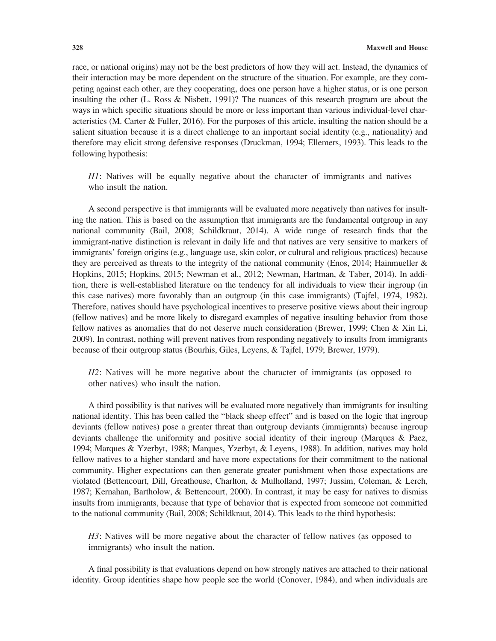race, or national origins) may not be the best predictors of how they will act. Instead, the dynamics of their interaction may be more dependent on the structure of the situation. For example, are they competing against each other, are they cooperating, does one person have a higher status, or is one person insulting the other (L. Ross & Nisbett, 1991)? The nuances of this research program are about the ways in which specific situations should be more or less important than various individual-level characteristics (M. Carter  $\&$  Fuller, 2016). For the purposes of this article, insulting the nation should be a salient situation because it is a direct challenge to an important social identity (e.g., nationality) and therefore may elicit strong defensive responses (Druckman, 1994; Ellemers, 1993). This leads to the following hypothesis:

H1: Natives will be equally negative about the character of immigrants and natives who insult the nation.

A second perspective is that immigrants will be evaluated more negatively than natives for insulting the nation. This is based on the assumption that immigrants are the fundamental outgroup in any national community (Bail, 2008; Schildkraut, 2014). A wide range of research finds that the immigrant-native distinction is relevant in daily life and that natives are very sensitive to markers of immigrants' foreign origins (e.g., language use, skin color, or cultural and religious practices) because they are perceived as threats to the integrity of the national community (Enos, 2014; Hainmueller  $\&$ Hopkins, 2015; Hopkins, 2015; Newman et al., 2012; Newman, Hartman, & Taber, 2014). In addition, there is well-established literature on the tendency for all individuals to view their ingroup (in this case natives) more favorably than an outgroup (in this case immigrants) (Tajfel, 1974, 1982). Therefore, natives should have psychological incentives to preserve positive views about their ingroup (fellow natives) and be more likely to disregard examples of negative insulting behavior from those fellow natives as anomalies that do not deserve much consideration (Brewer, 1999; Chen & Xin Li, 2009). In contrast, nothing will prevent natives from responding negatively to insults from immigrants because of their outgroup status (Bourhis, Giles, Leyens, & Tajfel, 1979; Brewer, 1979).

H2: Natives will be more negative about the character of immigrants (as opposed to other natives) who insult the nation.

A third possibility is that natives will be evaluated more negatively than immigrants for insulting national identity. This has been called the "black sheep effect" and is based on the logic that ingroup deviants (fellow natives) pose a greater threat than outgroup deviants (immigrants) because ingroup deviants challenge the uniformity and positive social identity of their ingroup (Marques & Paez, 1994; Marques & Yzerbyt, 1988; Marques, Yzerbyt, & Leyens, 1988). In addition, natives may hold fellow natives to a higher standard and have more expectations for their commitment to the national community. Higher expectations can then generate greater punishment when those expectations are violated (Bettencourt, Dill, Greathouse, Charlton, & Mulholland, 1997; Jussim, Coleman, & Lerch, 1987; Kernahan, Bartholow, & Bettencourt, 2000). In contrast, it may be easy for natives to dismiss insults from immigrants, because that type of behavior that is expected from someone not committed to the national community (Bail, 2008; Schildkraut, 2014). This leads to the third hypothesis:

H3: Natives will be more negative about the character of fellow natives (as opposed to immigrants) who insult the nation.

A final possibility is that evaluations depend on how strongly natives are attached to their national identity. Group identities shape how people see the world (Conover, 1984), and when individuals are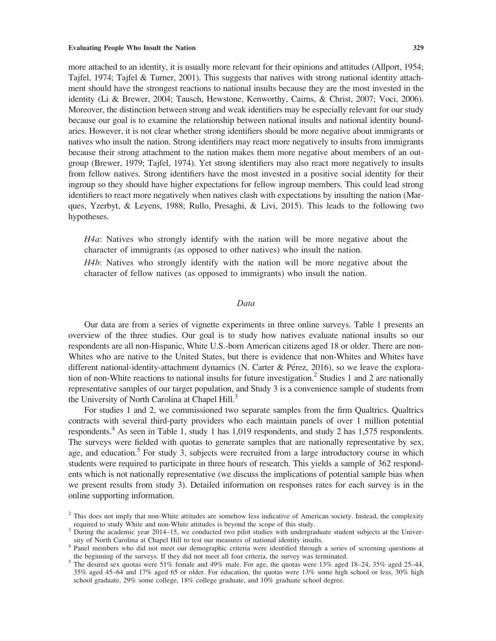more attached to an identity, it is usually more relevant for their opinions and attitudes (Allport, 1954; Tajfel, 1974; Tajfel & Turner, 2001). This suggests that natives with strong national identity attachment should have the strongest reactions to national insults because they are the most invested in the identity (Li & Brewer, 2004; Tausch, Hewstone, Kenworthy, Cairns, & Christ, 2007; Voci, 2006). Moreover, the distinction between strong and weak identifiers may be especially relevant for our study because our goal is to examine the relationship between national insults and national identity boundaries. However, it is not clear whether strong identifiers should be more negative about immigrants or natives who insult the nation. Strong identifiers may react more negatively to insults from immigrants because their strong attachment to the nation makes them more negative about members of an outgroup (Brewer, 1979; Tajfel, 1974). Yet strong identifiers may also react more negatively to insults from fellow natives. Strong identifiers have the most invested in a positive social identity for their ingroup so they should have higher expectations for fellow ingroup members. This could lead strong identifiers to react more negatively when natives clash with expectations by insulting the nation (Marques, Yzerbyt, & Leyens, 1988; Rullo, Presaghi, & Livi, 2015). This leads to the following two hypotheses.

H4a: Natives who strongly identify with the nation will be more negative about the character of immigrants (as opposed to other natives) who insult the nation.

 $H4b$ : Natives who strongly identify with the nation will be more negative about the character of fellow natives (as opposed to immigrants) who insult the nation.

## Data

Our data are from a series of vignette experiments in three online surveys. Table 1 presents an overview of the three studies. Our goal is to study how natives evaluate national insults so our respondents are all non-Hispanic, White U.S.-born American citizens aged 18 or older. There are non-Whites who are native to the United States, but there is evidence that non-Whites and Whites have different national-identity-attachment dynamics (N. Carter  $\&$  Pérez, 2016), so we leave the exploration of non-White reactions to national insults for future investigation.2 Studies 1 and 2 are nationally representative samples of our target population, and Study 3 is a convenience sample of students from the University of North Carolina at Chapel Hill.<sup>3</sup>

For studies 1 and 2, we commissioned two separate samples from the firm Qualtrics. Qualtrics contracts with several third-party providers who each maintain panels of over 1 million potential respondents.4 As seen in Table 1, study 1 has 1,019 respondents, and study 2 has 1,575 respondents. The surveys were fielded with quotas to generate samples that are nationally representative by sex, age, and education.<sup>5</sup> For study 3, subjects were recruited from a large introductory course in which students were required to participate in three hours of research. This yields a sample of 362 respondents which is not nationally representative (we discuss the implications of potential sample bias when we present results from study 3). Detailed information on responses rates for each survey is in the online supporting information.

<sup>&</sup>lt;sup>2</sup> This does not imply that non-White attitudes are somehow less indicative of American society. Instead, the complexity required to study White and non-White attitudes is beyond the scope of this study.<br>During the academic year 2014–15, we conducted two pilot studies with undergraduate student subjects at the Univer-

sity of North Carolina at Chapel Hill to test our measures of national identity insults.<br><sup>4</sup> Panel members who did not meet our demographic criteria were identified through a series of screening questions at<br>the beginning

The desired sex quotas were 51% female and 49% male. For age, the quotas were 13% aged 18–24, 35% aged 25–44, 35% aged 45–64 and 17% aged 65 or older. For education, the quotas were 13% some high school or less, 30% high school graduate, 29% some college, 18% college graduate, and 10% graduate school degree.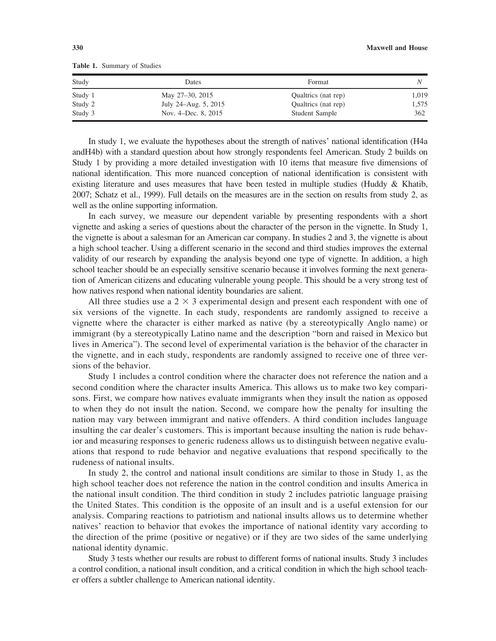| Study   | Dates                | Format              | Ν     |
|---------|----------------------|---------------------|-------|
| Study 1 | May 27–30, 2015      | Qualtrics (nat rep) | 1,019 |
| Study 2 | July 24–Aug. 5, 2015 | Qualtrics (nat rep) | 1,575 |
| Study 3 | Nov. 4–Dec. 8, 2015  | Student Sample      | 362   |

Table 1. Summary of Studies

In study 1, we evaluate the hypotheses about the strength of natives' national identification (H4a andH4b) with a standard question about how strongly respondents feel American. Study 2 builds on Study 1 by providing a more detailed investigation with 10 items that measure five dimensions of national identification. This more nuanced conception of national identification is consistent with existing literature and uses measures that have been tested in multiple studies (Huddy & Khatib, 2007; Schatz et al., 1999). Full details on the measures are in the section on results from study 2, as well as the online supporting information.

In each survey, we measure our dependent variable by presenting respondents with a short vignette and asking a series of questions about the character of the person in the vignette. In Study 1, the vignette is about a salesman for an American car company. In studies 2 and 3, the vignette is about a high school teacher. Using a different scenario in the second and third studies improves the external validity of our research by expanding the analysis beyond one type of vignette. In addition, a high school teacher should be an especially sensitive scenario because it involves forming the next generation of American citizens and educating vulnerable young people. This should be a very strong test of how natives respond when national identity boundaries are salient.

All three studies use a  $2 \times 3$  experimental design and present each respondent with one of six versions of the vignette. In each study, respondents are randomly assigned to receive a vignette where the character is either marked as native (by a stereotypically Anglo name) or immigrant (by a stereotypically Latino name and the description "born and raised in Mexico but lives in America"). The second level of experimental variation is the behavior of the character in the vignette, and in each study, respondents are randomly assigned to receive one of three versions of the behavior.

Study 1 includes a control condition where the character does not reference the nation and a second condition where the character insults America. This allows us to make two key comparisons. First, we compare how natives evaluate immigrants when they insult the nation as opposed to when they do not insult the nation. Second, we compare how the penalty for insulting the nation may vary between immigrant and native offenders. A third condition includes language insulting the car dealer's customers. This is important because insulting the nation is rude behavior and measuring responses to generic rudeness allows us to distinguish between negative evaluations that respond to rude behavior and negative evaluations that respond specifically to the rudeness of national insults.

In study 2, the control and national insult conditions are similar to those in Study 1, as the high school teacher does not reference the nation in the control condition and insults America in the national insult condition. The third condition in study 2 includes patriotic language praising the United States. This condition is the opposite of an insult and is a useful extension for our analysis. Comparing reactions to patriotism and national insults allows us to determine whether natives' reaction to behavior that evokes the importance of national identity vary according to the direction of the prime (positive or negative) or if they are two sides of the same underlying national identity dynamic.

Study 3 tests whether our results are robust to different forms of national insults. Study 3 includes a control condition, a national insult condition, and a critical condition in which the high school teacher offers a subtler challenge to American national identity.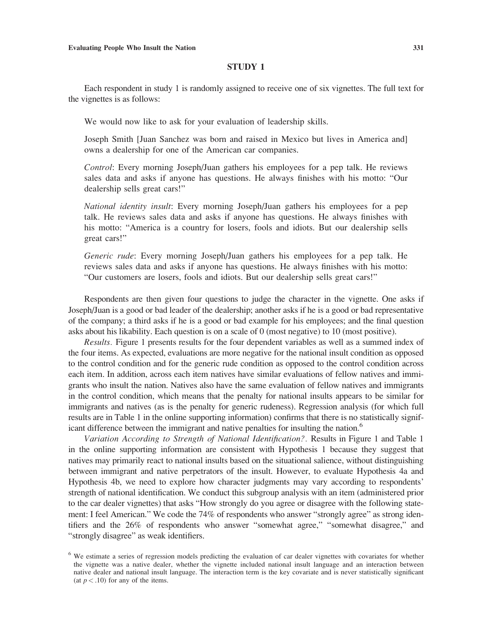## STUDY 1

Each respondent in study 1 is randomly assigned to receive one of six vignettes. The full text for the vignettes is as follows:

We would now like to ask for your evaluation of leadership skills.

Joseph Smith [Juan Sanchez was born and raised in Mexico but lives in America and] owns a dealership for one of the American car companies.

Control: Every morning Joseph/Juan gathers his employees for a pep talk. He reviews sales data and asks if anyone has questions. He always finishes with his motto: "Our dealership sells great cars!"

National identity insult: Every morning Joseph/Juan gathers his employees for a pep talk. He reviews sales data and asks if anyone has questions. He always finishes with his motto: "America is a country for losers, fools and idiots. But our dealership sells great cars!"

Generic rude: Every morning Joseph/Juan gathers his employees for a pep talk. He reviews sales data and asks if anyone has questions. He always finishes with his motto: "Our customers are losers, fools and idiots. But our dealership sells great cars!"

Respondents are then given four questions to judge the character in the vignette. One asks if Joseph/Juan is a good or bad leader of the dealership; another asks if he is a good or bad representative of the company; a third asks if he is a good or bad example for his employees; and the final question asks about his likability. Each question is on a scale of 0 (most negative) to 10 (most positive).

Results. Figure 1 presents results for the four dependent variables as well as a summed index of the four items. As expected, evaluations are more negative for the national insult condition as opposed to the control condition and for the generic rude condition as opposed to the control condition across each item. In addition, across each item natives have similar evaluations of fellow natives and immigrants who insult the nation. Natives also have the same evaluation of fellow natives and immigrants in the control condition, which means that the penalty for national insults appears to be similar for immigrants and natives (as is the penalty for generic rudeness). Regression analysis (for which full results are in Table 1 in the online supporting information) confirms that there is no statistically significant difference between the immigrant and native penalties for insulting the nation.<sup>6</sup>

Variation According to Strength of National Identification?. Results in Figure 1 and Table 1 in the online supporting information are consistent with Hypothesis 1 because they suggest that natives may primarily react to national insults based on the situational salience, without distinguishing between immigrant and native perpetrators of the insult. However, to evaluate Hypothesis 4a and Hypothesis 4b, we need to explore how character judgments may vary according to respondents' strength of national identification. We conduct this subgroup analysis with an item (administered prior to the car dealer vignettes) that asks "How strongly do you agree or disagree with the following statement: I feel American." We code the 74% of respondents who answer "strongly agree" as strong identifiers and the 26% of respondents who answer "somewhat agree," "somewhat disagree," and "strongly disagree" as weak identifiers.

<sup>&</sup>lt;sup>6</sup> We estimate a series of regression models predicting the evaluation of car dealer vignettes with covariates for whether the vignette was a native dealer, whether the vignette included national insult language and an interaction between native dealer and national insult language. The interaction term is the key covariate and is never statistically significant (at  $p < .10$ ) for any of the items.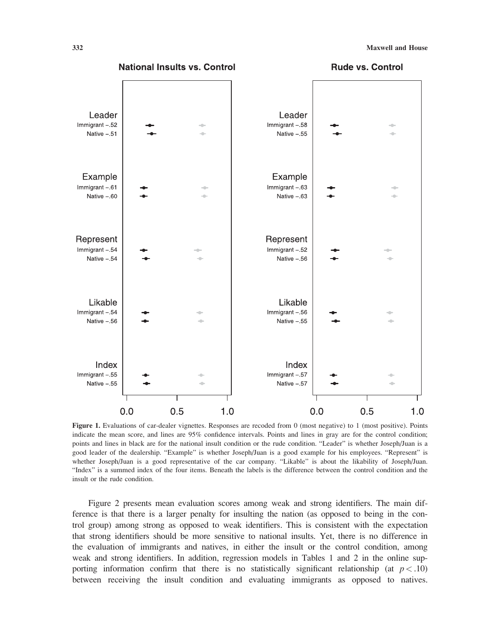

Figure 1. Evaluations of car-dealer vignettes. Responses are recoded from 0 (most negative) to 1 (most positive). Points indicate the mean score, and lines are 95% confidence intervals. Points and lines in gray are for the control condition; points and lines in black are for the national insult condition or the rude condition. "Leader" is whether Joseph/Juan is a good leader of the dealership. "Example" is whether Joseph/Juan is a good example for his employees. "Represent" is whether Joseph/Juan is a good representative of the car company. "Likable" is about the likability of Joseph/Juan. "Index" is a summed index of the four items. Beneath the labels is the difference between the control condition and the insult or the rude condition.

Figure 2 presents mean evaluation scores among weak and strong identifiers. The main difference is that there is a larger penalty for insulting the nation (as opposed to being in the control group) among strong as opposed to weak identifiers. This is consistent with the expectation that strong identifiers should be more sensitive to national insults. Yet, there is no difference in the evaluation of immigrants and natives, in either the insult or the control condition, among weak and strong identifiers. In addition, regression models in Tables 1 and 2 in the online supporting information confirm that there is no statistically significant relationship (at  $p < .10$ ) between receiving the insult condition and evaluating immigrants as opposed to natives.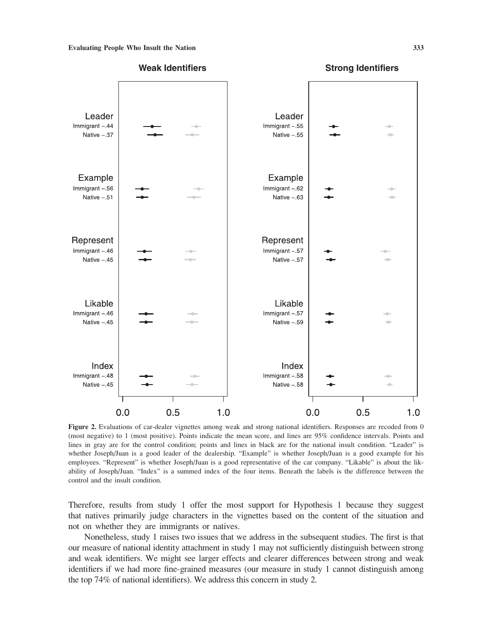

Weak Identifiers **Network** Strong Identifiers

Figure 2. Evaluations of car-dealer vignettes among weak and strong national identifiers. Responses are recoded from 0 (most negative) to 1 (most positive). Points indicate the mean score, and lines are 95% confidence intervals. Points and lines in gray are for the control condition; points and lines in black are for the national insult condition. "Leader" is whether Joseph/Juan is a good leader of the dealership. "Example" is whether Joseph/Juan is a good example for his employees. "Represent" is whether Joseph/Juan is a good representative of the car company. "Likable" is about the likability of Joseph/Juan. "Index" is a summed index of the four items. Beneath the labels is the difference between the control and the insult condition.

Therefore, results from study 1 offer the most support for Hypothesis 1 because they suggest that natives primarily judge characters in the vignettes based on the content of the situation and not on whether they are immigrants or natives.

Nonetheless, study 1 raises two issues that we address in the subsequent studies. The first is that our measure of national identity attachment in study 1 may not sufficiently distinguish between strong and weak identifiers. We might see larger effects and clearer differences between strong and weak identifiers if we had more fine-grained measures (our measure in study 1 cannot distinguish among the top 74% of national identifiers). We address this concern in study 2.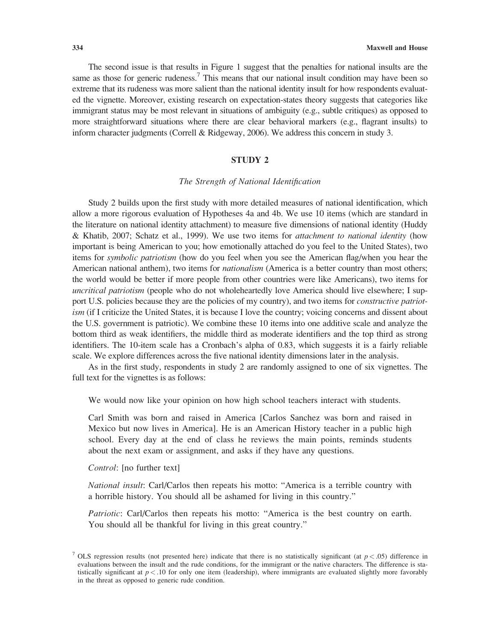The second issue is that results in Figure 1 suggest that the penalties for national insults are the same as those for generic rudeness.<sup>7</sup> This means that our national insult condition may have been so extreme that its rudeness was more salient than the national identity insult for how respondents evaluated the vignette. Moreover, existing research on expectation-states theory suggests that categories like immigrant status may be most relevant in situations of ambiguity (e.g., subtle critiques) as opposed to more straightforward situations where there are clear behavioral markers (e.g., flagrant insults) to inform character judgments (Correll & Ridgeway, 2006). We address this concern in study 3.

## STUDY 2

## The Strength of National Identification

Study 2 builds upon the first study with more detailed measures of national identification, which allow a more rigorous evaluation of Hypotheses 4a and 4b. We use 10 items (which are standard in the literature on national identity attachment) to measure five dimensions of national identity (Huddy & Khatib, 2007; Schatz et al., 1999). We use two items for attachment to national identity (how important is being American to you; how emotionally attached do you feel to the United States), two items for symbolic patriotism (how do you feel when you see the American flag/when you hear the American national anthem), two items for *nationalism* (America is a better country than most others; the world would be better if more people from other countries were like Americans), two items for uncritical patriotism (people who do not wholeheartedly love America should live elsewhere; I support U.S. policies because they are the policies of my country), and two items for *constructive patriot*ism (if I criticize the United States, it is because I love the country; voicing concerns and dissent about the U.S. government is patriotic). We combine these 10 items into one additive scale and analyze the bottom third as weak identifiers, the middle third as moderate identifiers and the top third as strong identifiers. The 10-item scale has a Cronbach's alpha of 0.83, which suggests it is a fairly reliable scale. We explore differences across the five national identity dimensions later in the analysis.

As in the first study, respondents in study 2 are randomly assigned to one of six vignettes. The full text for the vignettes is as follows:

We would now like your opinion on how high school teachers interact with students.

Carl Smith was born and raised in America [Carlos Sanchez was born and raised in Mexico but now lives in America]. He is an American History teacher in a public high school. Every day at the end of class he reviews the main points, reminds students about the next exam or assignment, and asks if they have any questions.

Control: [no further text]

National insult: Carl/Carlos then repeats his motto: "America is a terrible country with a horrible history. You should all be ashamed for living in this country."

Patriotic: Carl/Carlos then repeats his motto: "America is the best country on earth. You should all be thankful for living in this great country."

<sup>&</sup>lt;sup>7</sup> OLS regression results (not presented here) indicate that there is no statistically significant (at  $p < .05$ ) difference in evaluations between the insult and the rude conditions, for the immigrant or the native characters. The difference is statistically significant at  $p < 0.10$  for only one item (leadership), where immigrants are evaluated slightly more favorably in the threat as opposed to generic rude condition.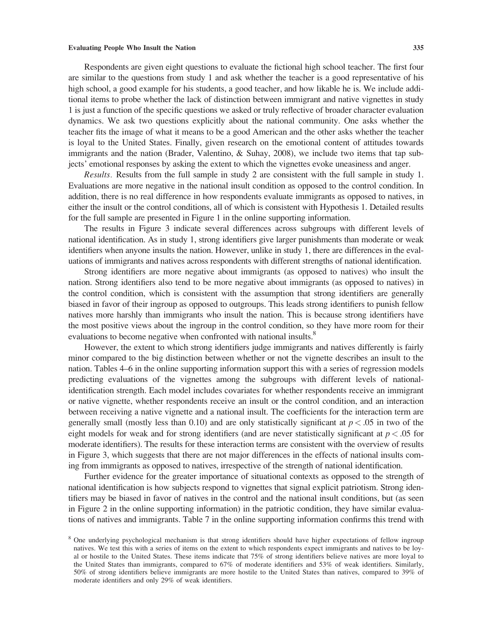Respondents are given eight questions to evaluate the fictional high school teacher. The first four are similar to the questions from study 1 and ask whether the teacher is a good representative of his high school, a good example for his students, a good teacher, and how likable he is. We include additional items to probe whether the lack of distinction between immigrant and native vignettes in study 1 is just a function of the specific questions we asked or truly reflective of broader character evaluation dynamics. We ask two questions explicitly about the national community. One asks whether the teacher fits the image of what it means to be a good American and the other asks whether the teacher is loyal to the United States. Finally, given research on the emotional content of attitudes towards immigrants and the nation (Brader, Valentino, & Suhay, 2008), we include two items that tap subjects' emotional responses by asking the extent to which the vignettes evoke uneasiness and anger.

Results. Results from the full sample in study 2 are consistent with the full sample in study 1. Evaluations are more negative in the national insult condition as opposed to the control condition. In addition, there is no real difference in how respondents evaluate immigrants as opposed to natives, in either the insult or the control conditions, all of which is consistent with Hypothesis 1. Detailed results for the full sample are presented in Figure 1 in the online supporting information.

The results in Figure 3 indicate several differences across subgroups with different levels of national identification. As in study 1, strong identifiers give larger punishments than moderate or weak identifiers when anyone insults the nation. However, unlike in study 1, there are differences in the evaluations of immigrants and natives across respondents with different strengths of national identification.

Strong identifiers are more negative about immigrants (as opposed to natives) who insult the nation. Strong identifiers also tend to be more negative about immigrants (as opposed to natives) in the control condition, which is consistent with the assumption that strong identifiers are generally biased in favor of their ingroup as opposed to outgroups. This leads strong identifiers to punish fellow natives more harshly than immigrants who insult the nation. This is because strong identifiers have the most positive views about the ingroup in the control condition, so they have more room for their evaluations to become negative when confronted with national insults.<sup>8</sup>

However, the extent to which strong identifiers judge immigrants and natives differently is fairly minor compared to the big distinction between whether or not the vignette describes an insult to the nation. Tables 4–6 in the online supporting information support this with a series of regression models predicting evaluations of the vignettes among the subgroups with different levels of nationalidentification strength. Each model includes covariates for whether respondents receive an immigrant or native vignette, whether respondents receive an insult or the control condition, and an interaction between receiving a native vignette and a national insult. The coefficients for the interaction term are generally small (mostly less than 0.10) and are only statistically significant at  $p < .05$  in two of the eight models for weak and for strong identifiers (and are never statistically significant at  $p < .05$  for moderate identifiers). The results for these interaction terms are consistent with the overview of results in Figure 3, which suggests that there are not major differences in the effects of national insults coming from immigrants as opposed to natives, irrespective of the strength of national identification.

Further evidence for the greater importance of situational contexts as opposed to the strength of national identification is how subjects respond to vignettes that signal explicit patriotism. Strong identifiers may be biased in favor of natives in the control and the national insult conditions, but (as seen in Figure 2 in the online supporting information) in the patriotic condition, they have similar evaluations of natives and immigrants. Table 7 in the online supporting information confirms this trend with

<sup>&</sup>lt;sup>8</sup> One underlying psychological mechanism is that strong identifiers should have higher expectations of fellow ingroup natives. We test this with a series of items on the extent to which respondents expect immigrants and natives to be loyal or hostile to the United States. These items indicate that 75% of strong identifiers believe natives are more loyal to the United States than immigrants, compared to 67% of moderate identifiers and 53% of weak identifiers. Similarly, 50% of strong identifiers believe immigrants are more hostile to the United States than natives, compared to 39% of moderate identifiers and only 29% of weak identifiers.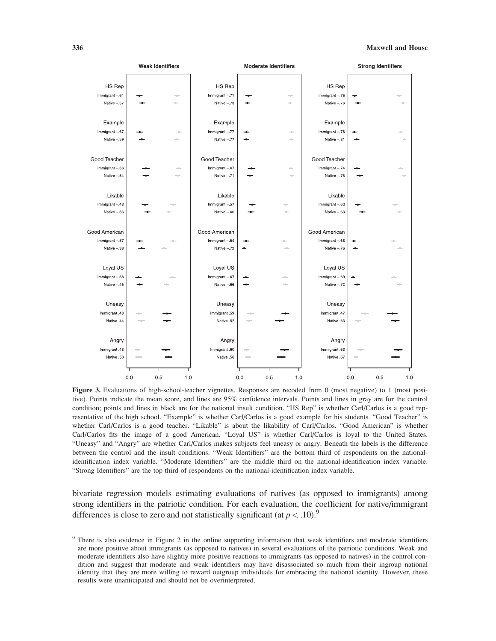

Figure 3. Evaluations of high-school-teacher vignettes. Responses are recoded from 0 (most negative) to 1 (most positive). Points indicate the mean score, and lines are 95% confidence intervals. Points and lines in gray are for the control condition; points and lines in black are for the national insult condition. "HS Rep" is whether Carl/Carlos is a good representative of the high school. "Example" is whether Carl/Carlos is a good example for his students. "Good Teacher" is whether Carl/Carlos is a good teacher. "Likable" is about the likability of Carl/Carlos. "Good American" is whether Carl/Carlos fits the image of a good American. "Loyal US" is whether Carl/Carlos is loyal to the United States. "Uneasy" and "Angry" are whether Carl/Carlos makes subjects feel uneasy or angry. Beneath the labels is the difference between the control and the insult conditions. "Weak Identifiers" are the bottom third of respondents on the nationalidentification index variable. "Moderate Identifiers" are the middle third on the national-identification index variable. "Strong Identifiers" are the top third of respondents on the national-identification index variable.

bivariate regression models estimating evaluations of natives (as opposed to immigrants) among strong identifiers in the patriotic condition. For each evaluation, the coefficient for native/immigrant differences is close to zero and not statistically significant (at  $p < .10$ ).<sup>9</sup>

<sup>&</sup>lt;sup>9</sup> There is also evidence in Figure 2 in the online supporting information that weak identifiers and moderate identifiers are more positive about immigrants (as opposed to natives) in several evaluations of the patriotic conditions. Weak and moderate identifiers also have slightly more positive reactions to immigrants (as opposed to natives) in the control condition and suggest that moderate and weak identifiers may have disassociated so much from their ingroup national identity that they are more willing to reward outgroup individuals for embracing the national identity. However, these results were unanticipated and should not be overinterpreted.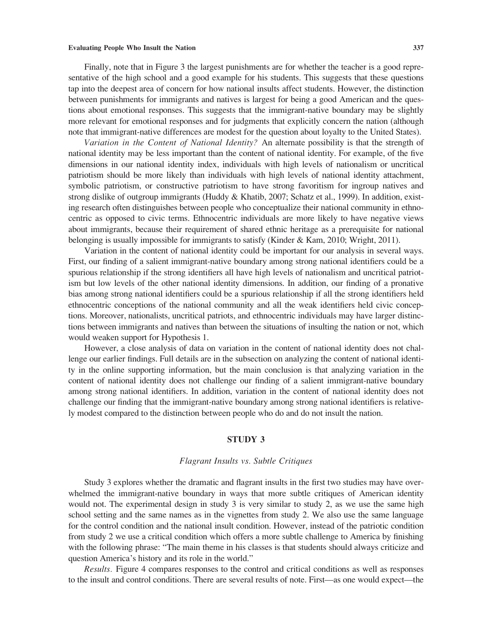Finally, note that in Figure 3 the largest punishments are for whether the teacher is a good representative of the high school and a good example for his students. This suggests that these questions tap into the deepest area of concern for how national insults affect students. However, the distinction between punishments for immigrants and natives is largest for being a good American and the questions about emotional responses. This suggests that the immigrant-native boundary may be slightly more relevant for emotional responses and for judgments that explicitly concern the nation (although note that immigrant-native differences are modest for the question about loyalty to the United States).

Variation in the Content of National Identity? An alternate possibility is that the strength of national identity may be less important than the content of national identity. For example, of the five dimensions in our national identity index, individuals with high levels of nationalism or uncritical patriotism should be more likely than individuals with high levels of national identity attachment, symbolic patriotism, or constructive patriotism to have strong favoritism for ingroup natives and strong dislike of outgroup immigrants (Huddy & Khatib, 2007; Schatz et al., 1999). In addition, existing research often distinguishes between people who conceptualize their national community in ethnocentric as opposed to civic terms. Ethnocentric individuals are more likely to have negative views about immigrants, because their requirement of shared ethnic heritage as a prerequisite for national belonging is usually impossible for immigrants to satisfy (Kinder & Kam, 2010; Wright, 2011).

Variation in the content of national identity could be important for our analysis in several ways. First, our finding of a salient immigrant-native boundary among strong national identifiers could be a spurious relationship if the strong identifiers all have high levels of nationalism and uncritical patriotism but low levels of the other national identity dimensions. In addition, our finding of a pronative bias among strong national identifiers could be a spurious relationship if all the strong identifiers held ethnocentric conceptions of the national community and all the weak identifiers held civic conceptions. Moreover, nationalists, uncritical patriots, and ethnocentric individuals may have larger distinctions between immigrants and natives than between the situations of insulting the nation or not, which would weaken support for Hypothesis 1.

However, a close analysis of data on variation in the content of national identity does not challenge our earlier findings. Full details are in the subsection on analyzing the content of national identity in the online supporting information, but the main conclusion is that analyzing variation in the content of national identity does not challenge our finding of a salient immigrant-native boundary among strong national identifiers. In addition, variation in the content of national identity does not challenge our finding that the immigrant-native boundary among strong national identifiers is relatively modest compared to the distinction between people who do and do not insult the nation.

## STUDY 3

## Flagrant Insults vs. Subtle Critiques

Study 3 explores whether the dramatic and flagrant insults in the first two studies may have overwhelmed the immigrant-native boundary in ways that more subtle critiques of American identity would not. The experimental design in study 3 is very similar to study 2, as we use the same high school setting and the same names as in the vignettes from study 2. We also use the same language for the control condition and the national insult condition. However, instead of the patriotic condition from study 2 we use a critical condition which offers a more subtle challenge to America by finishing with the following phrase: "The main theme in his classes is that students should always criticize and question America's history and its role in the world."

Results. Figure 4 compares responses to the control and critical conditions as well as responses to the insult and control conditions. There are several results of note. First—as one would expect—the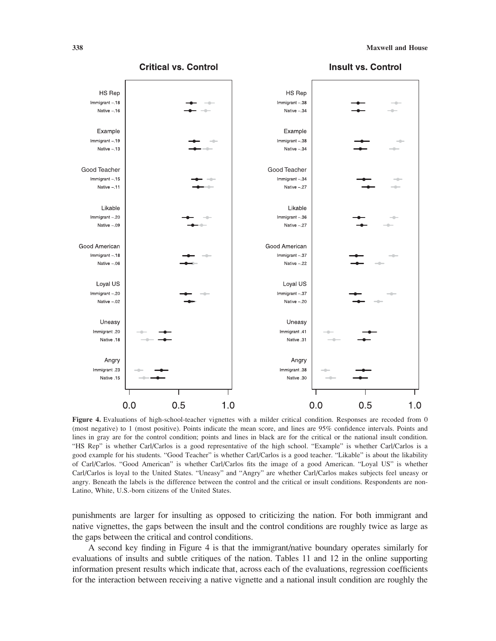

**Critical vs. Control** 

Figure 4. Evaluations of high-school-teacher vignettes with a milder critical condition. Responses are recoded from 0 (most negative) to 1 (most positive). Points indicate the mean score, and lines are 95% confidence intervals. Points and lines in gray are for the control condition; points and lines in black are for the critical or the national insult condition. "HS Rep" is whether Carl/Carlos is a good representative of the high school. "Example" is whether Carl/Carlos is a good example for his students. "Good Teacher" is whether Carl/Carlos is a good teacher. "Likable" is about the likability of Carl/Carlos. "Good American" is whether Carl/Carlos fits the image of a good American. "Loyal US" is whether Carl/Carlos is loyal to the United States. "Uneasy" and "Angry" are whether Carl/Carlos makes subjects feel uneasy or angry. Beneath the labels is the difference between the control and the critical or insult conditions. Respondents are non-Latino, White, U.S.-born citizens of the United States.

punishments are larger for insulting as opposed to criticizing the nation. For both immigrant and native vignettes, the gaps between the insult and the control conditions are roughly twice as large as the gaps between the critical and control conditions.

A second key finding in Figure 4 is that the immigrant/native boundary operates similarly for evaluations of insults and subtle critiques of the nation. Tables 11 and 12 in the online supporting information present results which indicate that, across each of the evaluations, regression coefficients for the interaction between receiving a native vignette and a national insult condition are roughly the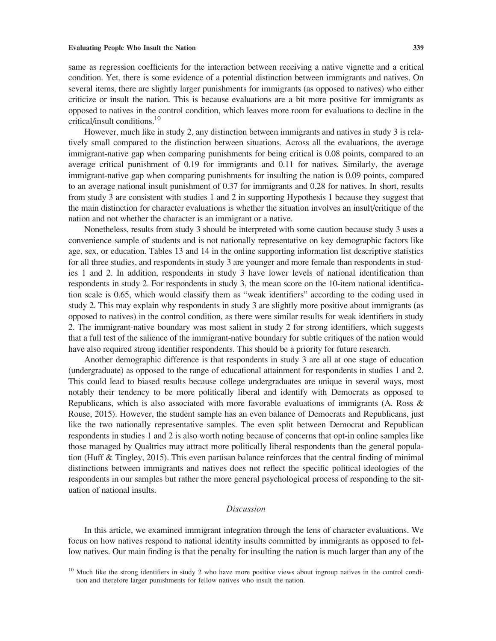same as regression coefficients for the interaction between receiving a native vignette and a critical condition. Yet, there is some evidence of a potential distinction between immigrants and natives. On several items, there are slightly larger punishments for immigrants (as opposed to natives) who either criticize or insult the nation. This is because evaluations are a bit more positive for immigrants as opposed to natives in the control condition, which leaves more room for evaluations to decline in the critical/insult conditions.10

However, much like in study 2, any distinction between immigrants and natives in study 3 is relatively small compared to the distinction between situations. Across all the evaluations, the average immigrant-native gap when comparing punishments for being critical is 0.08 points, compared to an average critical punishment of 0.19 for immigrants and 0.11 for natives. Similarly, the average immigrant-native gap when comparing punishments for insulting the nation is 0.09 points, compared to an average national insult punishment of 0.37 for immigrants and 0.28 for natives. In short, results from study 3 are consistent with studies 1 and 2 in supporting Hypothesis 1 because they suggest that the main distinction for character evaluations is whether the situation involves an insult/critique of the nation and not whether the character is an immigrant or a native.

Nonetheless, results from study 3 should be interpreted with some caution because study 3 uses a convenience sample of students and is not nationally representative on key demographic factors like age, sex, or education. Tables 13 and 14 in the online supporting information list descriptive statistics for all three studies, and respondents in study 3 are younger and more female than respondents in studies 1 and 2. In addition, respondents in study 3 have lower levels of national identification than respondents in study 2. For respondents in study 3, the mean score on the 10-item national identification scale is 0.65, which would classify them as "weak identifiers" according to the coding used in study 2. This may explain why respondents in study 3 are slightly more positive about immigrants (as opposed to natives) in the control condition, as there were similar results for weak identifiers in study 2. The immigrant-native boundary was most salient in study 2 for strong identifiers, which suggests that a full test of the salience of the immigrant-native boundary for subtle critiques of the nation would have also required strong identifier respondents. This should be a priority for future research.

Another demographic difference is that respondents in study 3 are all at one stage of education (undergraduate) as opposed to the range of educational attainment for respondents in studies 1 and 2. This could lead to biased results because college undergraduates are unique in several ways, most notably their tendency to be more politically liberal and identify with Democrats as opposed to Republicans, which is also associated with more favorable evaluations of immigrants (A. Ross & Rouse, 2015). However, the student sample has an even balance of Democrats and Republicans, just like the two nationally representative samples. The even split between Democrat and Republican respondents in studies 1 and 2 is also worth noting because of concerns that opt-in online samples like those managed by Qualtrics may attract more politically liberal respondents than the general population (Huff & Tingley, 2015). This even partisan balance reinforces that the central finding of minimal distinctions between immigrants and natives does not reflect the specific political ideologies of the respondents in our samples but rather the more general psychological process of responding to the situation of national insults.

## Discussion

In this article, we examined immigrant integration through the lens of character evaluations. We focus on how natives respond to national identity insults committed by immigrants as opposed to fellow natives. Our main finding is that the penalty for insulting the nation is much larger than any of the

 $10$  Much like the strong identifiers in study 2 who have more positive views about ingroup natives in the control condition and therefore larger punishments for fellow natives who insult the nation.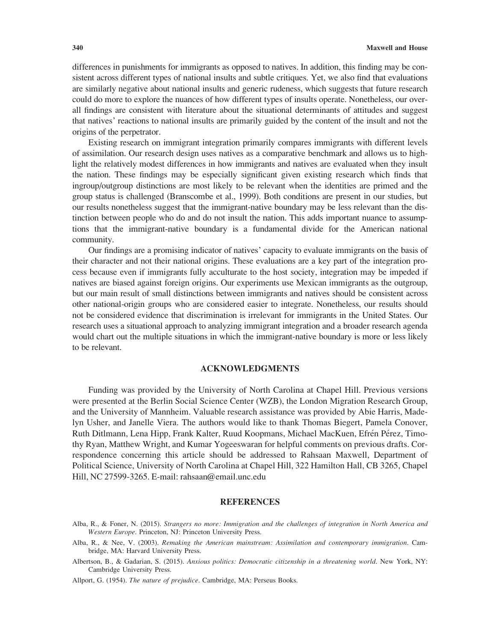differences in punishments for immigrants as opposed to natives. In addition, this finding may be consistent across different types of national insults and subtle critiques. Yet, we also find that evaluations are similarly negative about national insults and generic rudeness, which suggests that future research could do more to explore the nuances of how different types of insults operate. Nonetheless, our overall findings are consistent with literature about the situational determinants of attitudes and suggest that natives' reactions to national insults are primarily guided by the content of the insult and not the origins of the perpetrator.

Existing research on immigrant integration primarily compares immigrants with different levels of assimilation. Our research design uses natives as a comparative benchmark and allows us to highlight the relatively modest differences in how immigrants and natives are evaluated when they insult the nation. These findings may be especially significant given existing research which finds that ingroup/outgroup distinctions are most likely to be relevant when the identities are primed and the group status is challenged (Branscombe et al., 1999). Both conditions are present in our studies, but our results nonetheless suggest that the immigrant-native boundary may be less relevant than the distinction between people who do and do not insult the nation. This adds important nuance to assumptions that the immigrant-native boundary is a fundamental divide for the American national community.

Our findings are a promising indicator of natives' capacity to evaluate immigrants on the basis of their character and not their national origins. These evaluations are a key part of the integration process because even if immigrants fully acculturate to the host society, integration may be impeded if natives are biased against foreign origins. Our experiments use Mexican immigrants as the outgroup, but our main result of small distinctions between immigrants and natives should be consistent across other national-origin groups who are considered easier to integrate. Nonetheless, our results should not be considered evidence that discrimination is irrelevant for immigrants in the United States. Our research uses a situational approach to analyzing immigrant integration and a broader research agenda would chart out the multiple situations in which the immigrant-native boundary is more or less likely to be relevant.

## ACKNOWLEDGMENTS

Funding was provided by the University of North Carolina at Chapel Hill. Previous versions were presented at the Berlin Social Science Center (WZB), the London Migration Research Group, and the University of Mannheim. Valuable research assistance was provided by Abie Harris, Madelyn Usher, and Janelle Viera. The authors would like to thank Thomas Biegert, Pamela Conover, Ruth Ditlmann, Lena Hipp, Frank Kalter, Ruud Koopmans, Michael MacKuen, Efrén Pérez, Timothy Ryan, Matthew Wright, and Kumar Yogeeswaran for helpful comments on previous drafts. Correspondence concerning this article should be addressed to Rahsaan Maxwell, Department of Political Science, University of North Carolina at Chapel Hill, 322 Hamilton Hall, CB 3265, Chapel Hill, NC 27599-3265. E-mail: rahsaan@email.unc.edu

#### REFERENCES

- Alba, R., & Foner, N. (2015). Strangers no more: Immigration and the challenges of integration in North America and Western Europe. Princeton, NJ: Princeton University Press.
- Alba, R., & Nee, V. (2003). Remaking the American mainstream: Assimilation and contemporary immigration. Cambridge, MA: Harvard University Press.
- Albertson, B., & Gadarian, S. (2015). Anxious politics: Democratic citizenship in a threatening world. New York, NY: Cambridge University Press.

Allport, G. (1954). The nature of prejudice. Cambridge, MA: Perseus Books.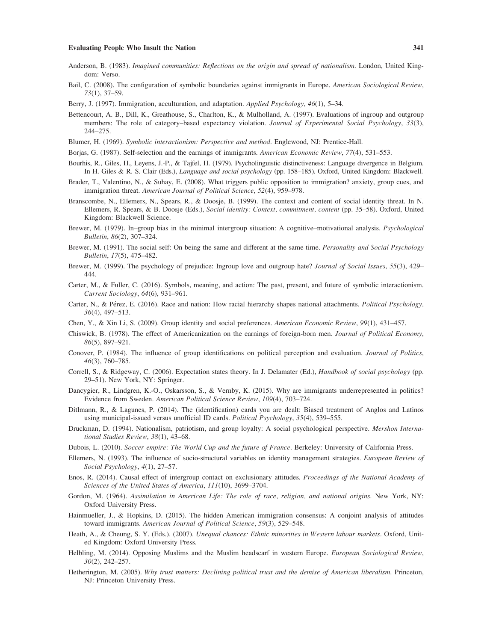- Anderson, B. (1983). Imagined communities: Reflections on the origin and spread of nationalism. London, United Kingdom: Verso.
- Bail, C. (2008). The configuration of symbolic boundaries against immigrants in Europe. American Sociological Review, 73(1), 37–59.
- Berry, J. (1997). Immigration, acculturation, and adaptation. Applied Psychology, 46(1), 5–34.
- Bettencourt, A. B., Dill, K., Greathouse, S., Charlton, K., & Mulholland, A. (1997). Evaluations of ingroup and outgroup members: The role of category–based expectancy violation. Journal of Experimental Social Psychology, 33(3), 244–275.
- Blumer, H. (1969). Symbolic interactionism: Perspective and method. Englewood, NJ: Prentice-Hall.
- Borjas, G. (1987). Self-selection and the earnings of immigrants. American Economic Review, 77(4), 531–553.
- Bourhis, R., Giles, H., Leyens, J.-P., & Tajfel, H. (1979). Psycholinguistic distinctiveness: Language divergence in Belgium. In H. Giles & R. S. Clair (Eds.), Language and social psychology (pp. 158–185). Oxford, United Kingdom: Blackwell.
- Brader, T., Valentino, N., & Suhay, E. (2008). What triggers public opposition to immigration? anxiety, group cues, and immigration threat. American Journal of Political Science, 52(4), 959–978.
- Branscombe, N., Ellemers, N., Spears, R., & Doosje, B. (1999). The context and content of social identity threat. In N. Ellemers, R. Spears, & B. Doosje (Eds.), Social identity: Context, commitment, content (pp. 35–58). Oxford, United Kingdom: Blackwell Science.
- Brewer, M. (1979). In–group bias in the minimal intergroup situation: A cognitive–motivational analysis. Psychological Bulletin, 86(2), 307–324.
- Brewer, M. (1991). The social self: On being the same and different at the same time. Personality and Social Psychology Bulletin, 17(5), 475–482.
- Brewer, M. (1999). The psychology of prejudice: Ingroup love and outgroup hate? Journal of Social Issues, 55(3), 429– 444.
- Carter, M., & Fuller, C. (2016). Symbols, meaning, and action: The past, present, and future of symbolic interactionism. Current Sociology, 64(6), 931–961.
- Carter, N., & Pérez, E. (2016). Race and nation: How racial hierarchy shapes national attachments. Political Psychology, 36(4), 497–513.
- Chen, Y., & Xin Li, S. (2009). Group identity and social preferences. American Economic Review, 99(1), 431–457.
- Chiswick, B. (1978). The effect of Americanization on the earnings of foreign-born men. Journal of Political Economy, 86(5), 897–921.
- Conover, P. (1984). The influence of group identifications on political perception and evaluation. Journal of Politics, 46(3), 760–785.
- Correll, S., & Ridgeway, C. (2006). Expectation states theory. In J. Delamater (Ed.), Handbook of social psychology (pp. 29–51). New York, NY: Springer.
- Dancygier, R., Lindgren, K.-O., Oskarsson, S., & Vernby, K. (2015). Why are immigrants underrepresented in politics? Evidence from Sweden. American Political Science Review, 109(4), 703–724.
- Ditlmann, R., & Lagunes, P. (2014). The (identification) cards you are dealt: Biased treatment of Anglos and Latinos using municipal-issued versus unofficial ID cards. Political Psychology, 35(4), 539–555.
- Druckman, D. (1994). Nationalism, patriotism, and group loyalty: A social psychological perspective. Mershon International Studies Review, 38(1), 43–68.
- Dubois, L. (2010). Soccer empire: The World Cup and the future of France. Berkeley: University of California Press.
- Ellemers, N. (1993). The influence of socio-structural variables on identity management strategies. European Review of Social Psychology, 4(1), 27–57.
- Enos, R. (2014). Causal effect of intergroup contact on exclusionary attitudes. Proceedings of the National Academy of Sciences of the United States of America, 111(10), 3699–3704.
- Gordon, M. (1964). Assimilation in American Life: The role of race, religion, and national origins. New York, NY: Oxford University Press.
- Hainmueller, J., & Hopkins, D. (2015). The hidden American immigration consensus: A conjoint analysis of attitudes toward immigrants. American Journal of Political Science, 59(3), 529–548.
- Heath, A., & Cheung, S. Y. (Eds.). (2007). Unequal chances: Ethnic minorities in Western labour markets. Oxford, United Kingdom: Oxford University Press.
- Helbling, M. (2014). Opposing Muslims and the Muslim headscarf in western Europe. European Sociological Review, 30(2), 242–257.
- Hetherington, M. (2005). Why trust matters: Declining political trust and the demise of American liberalism. Princeton, NJ: Princeton University Press.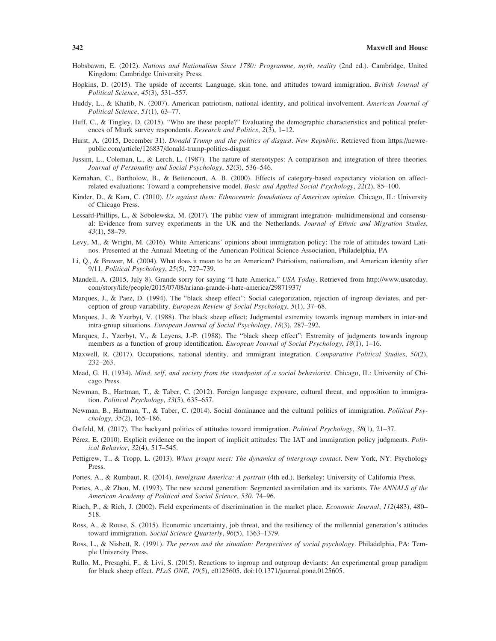- Hobsbawm, E. (2012). Nations and Nationalism Since 1780: Programme, myth, reality (2nd ed.). Cambridge, United Kingdom: Cambridge University Press.
- Hopkins, D. (2015). The upside of accents: Language, skin tone, and attitudes toward immigration. British Journal of Political Science, 45(3), 531–557.
- Huddy, L., & Khatib, N. (2007). American patriotism, national identity, and political involvement. American Journal of Political Science, 51(1), 63–77.
- Huff, C., & Tingley, D. (2015). "Who are these people?" Evaluating the demographic characteristics and political preferences of Mturk survey respondents. Research and Politics, 2(3), 1–12.
- Hurst, A. (2015, December 31). Donald Trump and the politics of disgust. New Republic. Retrieved from https://newrepublic.com/article/126837/donald-trump-politics-disgust
- Jussim, L., Coleman, L., & Lerch, L. (1987). The nature of stereotypes: A comparison and integration of three theories. Journal of Personality and Social Psychology, 52(3), 536–546.
- Kernahan, C., Bartholow, B., & Bettencourt, A. B. (2000). Effects of category-based expectancy violation on affectrelated evaluations: Toward a comprehensive model. Basic and Applied Social Psychology, 22(2), 85-100.
- Kinder, D., & Kam, C. (2010). Us against them: Ethnocentric foundations of American opinion. Chicago, IL: University of Chicago Press.
- Lessard-Phillips, L., & Sobolewska, M. (2017). The public view of immigrant integration- multidimensional and consensual: Evidence from survey experiments in the UK and the Netherlands. Journal of Ethnic and Migration Studies, 43(1), 58–79.
- Levy, M., & Wright, M. (2016). White Americans' opinions about immigration policy: The role of attitudes toward Latinos. Presented at the Annual Meeting of the American Political Science Association, Philadelphia, PA
- Li, Q., & Brewer, M. (2004). What does it mean to be an American? Patriotism, nationalism, and American identity after 9/11. Political Psychology, 25(5), 727–739.
- Mandell, A. (2015, July 8). Grande sorry for saying "I hate America." USA Today. Retrieved from http://www.usatoday. com/story/life/people/2015/07/08/ariana-grande-i-hate-america/29871937/
- Marques, J., & Paez, D. (1994). The "black sheep effect": Social categorization, rejection of ingroup deviates, and perception of group variability. European Review of Social Psychology, 5(1), 37–68.
- Marques, J., & Yzerbyt, V. (1988). The black sheep effect: Judgmental extremity towards ingroup members in inter-and intra-group situations. European Journal of Social Psychology, 18(3), 287–292.
- Marques, J., Yzerbyt, V., & Leyens, J.-P. (1988). The "black sheep effect": Extremity of judgments towards ingroup members as a function of group identification. European Journal of Social Psychology, 18(1), 1–16.
- Maxwell, R. (2017). Occupations, national identity, and immigrant integration. Comparative Political Studies, 50(2), 232–263.
- Mead, G. H. (1934). Mind, self, and society from the standpoint of a social behaviorist. Chicago, IL: University of Chicago Press.
- Newman, B., Hartman, T., & Taber, C. (2012). Foreign language exposure, cultural threat, and opposition to immigration. Political Psychology, 33(5), 635–657.
- Newman, B., Hartman, T., & Taber, C. (2014). Social dominance and the cultural politics of immigration. *Political Psy*chology, 35(2), 165–186.
- Ostfeld, M. (2017). The backyard politics of attitudes toward immigration. Political Psychology, 38(1), 21–37.
- Pérez, E. (2010). Explicit evidence on the import of implicit attitudes: The IAT and immigration policy judgments. *Polit*ical Behavior, 32(4), 517–545.
- Pettigrew, T., & Tropp, L. (2013). When groups meet: The dynamics of intergroup contact. New York, NY: Psychology Press.
- Portes, A., & Rumbaut, R. (2014). Immigrant America: A portrait (4th ed.). Berkeley: University of California Press.
- Portes, A., & Zhou, M. (1993). The new second generation: Segmented assimilation and its variants. The ANNALS of the American Academy of Political and Social Science, 530, 74–96.
- Riach, P., & Rich, J. (2002). Field experiments of discrimination in the market place. Economic Journal, 112(483), 480-518.
- Ross, A., & Rouse, S. (2015). Economic uncertainty, job threat, and the resiliency of the millennial generation's attitudes toward immigration. Social Science Quarterly, 96(5), 1363–1379.
- Ross, L., & Nisbett, R. (1991). The person and the situation: Perspectives of social psychology. Philadelphia, PA: Temple University Press.
- Rullo, M., Presaghi, F., & Livi, S. (2015). Reactions to ingroup and outgroup deviants: An experimental group paradigm for black sheep effect. PLoS ONE, 10(5), e0125605. doi:10.1371/journal.pone.0125605.